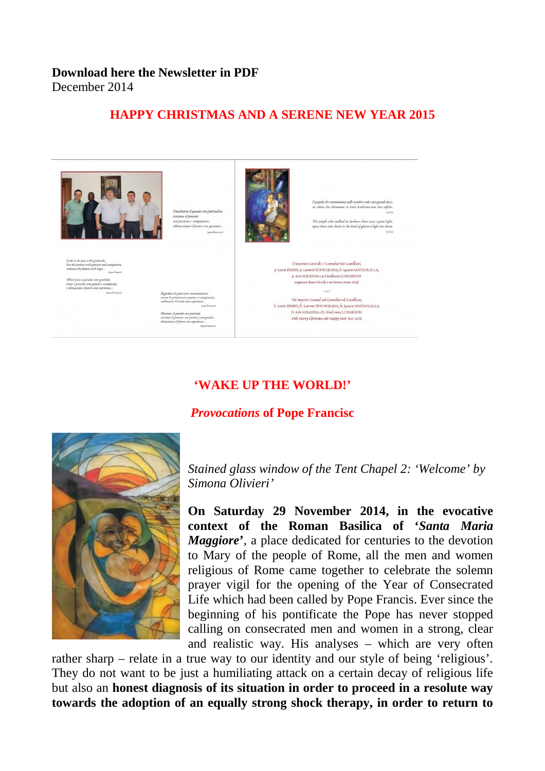### **Download here the Newsletter in PDF** December 2014

# **HAPPY CHRISTMAS AND A SERENE NEW YEAR 2015**





soloro che abitavano in terra tenebrosa una luce rifulse

e people who walked in darkness have seen a<br>m those who dwelt in the land of gloom a ligh

Il Superiore Generale e i Consultori dei Camilliani.  $\mu$  Leociv PESSINI,  $\mu$  Laurent ZOUNGRANA,  $\hat{f}r$  Ignacio SANTAOLALLA, p. Aris MIRANDA e p. Gianfranco LUNARDON augurano Buon Natale e un Sereno Anno 2015

The Superior General and Consultors of Camillians. Fr. Leocir PESSINI,  $\oint r$ . Leorie at ZOUNGRANA,  $\oint r$ . Leocir PESSINI,  $\oint r$ . Leorie SANTAOLALLA,  $\oint r$ . Aris MIRANDA e  $\oint r$ . Gian $\oint r$ anco LUNARDON wish Merry Christmas and Happy New Year 2015

# **'WAKE UP THE WORLD!'**

### *Provocations* **of Pope Francisc**



*Stained glass window of the Tent Chapel 2: 'Welcome' by Simona Olivieri'*

**On Saturday 29 November 2014, in the evocative context of the Roman Basilica of '***Santa Maria Maggiore***'**, a place dedicated for centuries to the devotion to Mary of the people of Rome, all the men and women religious of Rome came together to celebrate the solemn prayer vigil for the opening of the Year of Consecrated Life which had been called by Pope Francis. Ever since the beginning of his pontificate the Pope has never stopped calling on consecrated men and women in a strong, clear and realistic way. His analyses – which are very often

rather sharp – relate in a true way to our identity and our style of being 'religious'. They do not want to be just a humiliating attack on a certain decay of religious life but also an **honest diagnosis of its situation in order to proceed in a resolute way towards the adoption of an equally strong shock therapy, in order to return to**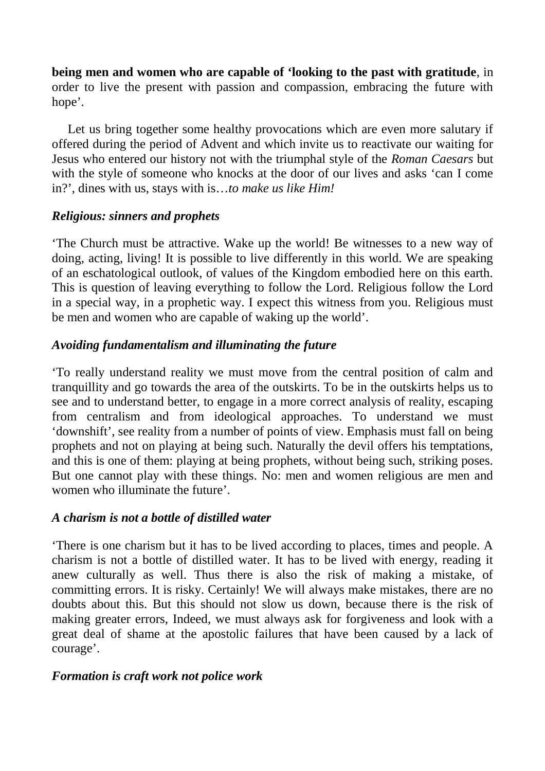**being men and women who are capable of 'looking to the past with gratitude**, in order to live the present with passion and compassion, embracing the future with hope'.

Let us bring together some healthy provocations which are even more salutary if offered during the period of Advent and which invite us to reactivate our waiting for Jesus who entered our history not with the triumphal style of the *Roman Caesars* but with the style of someone who knocks at the door of our lives and asks 'can I come in?', dines with us, stays with is…*to make us like Him!*

## *Religious: sinners and prophets*

'The Church must be attractive. Wake up the world! Be witnesses to a new way of doing, acting, living! It is possible to live differently in this world. We are speaking of an eschatological outlook, of values of the Kingdom embodied here on this earth. This is question of leaving everything to follow the Lord. Religious follow the Lord in a special way, in a prophetic way. I expect this witness from you. Religious must be men and women who are capable of waking up the world'.

## *Avoiding fundamentalism and illuminating the future*

'To really understand reality we must move from the central position of calm and tranquillity and go towards the area of the outskirts. To be in the outskirts helps us to see and to understand better, to engage in a more correct analysis of reality, escaping from centralism and from ideological approaches. To understand we must 'downshift', see reality from a number of points of view. Emphasis must fall on being prophets and not on playing at being such. Naturally the devil offers his temptations, and this is one of them: playing at being prophets, without being such, striking poses. But one cannot play with these things. No: men and women religious are men and women who illuminate the future'.

# *A charism is not a bottle of distilled water*

'There is one charism but it has to be lived according to places, times and people. A charism is not a bottle of distilled water. It has to be lived with energy, reading it anew culturally as well. Thus there is also the risk of making a mistake, of committing errors. It is risky. Certainly! We will always make mistakes, there are no doubts about this. But this should not slow us down, because there is the risk of making greater errors, Indeed, we must always ask for forgiveness and look with a great deal of shame at the apostolic failures that have been caused by a lack of courage'.

# *Formation is craft work not police work*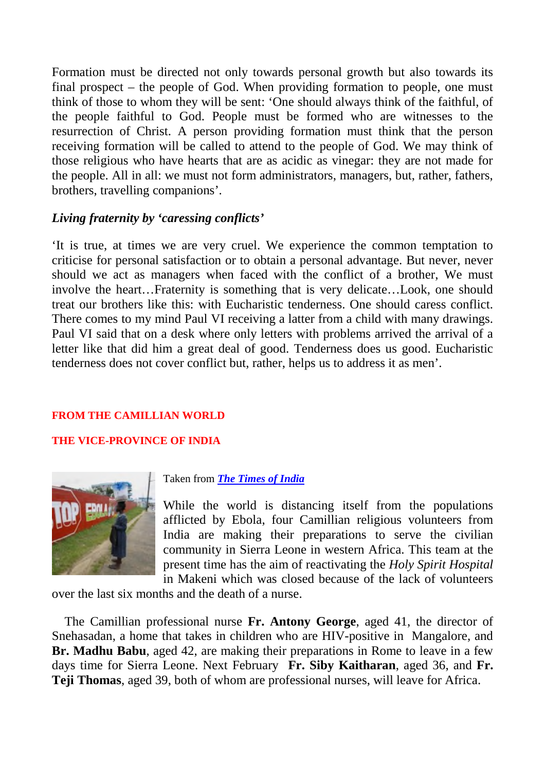Formation must be directed not only towards personal growth but also towards its final prospect – the people of God. When providing formation to people, one must think of those to whom they will be sent: 'One should always think of the faithful, of the people faithful to God. People must be formed who are witnesses to the resurrection of Christ. A person providing formation must think that the person receiving formation will be called to attend to the people of God. We may think of those religious who have hearts that are as acidic as vinegar: they are not made for the people. All in all: we must not form administrators, managers, but, rather, fathers, brothers, travelling companions'.

## *Living fraternity by 'caressing conflicts'*

'It is true, at times we are very cruel. We experience the common temptation to criticise for personal satisfaction or to obtain a personal advantage. But never, never should we act as managers when faced with the conflict of a brother, We must involve the heart…Fraternity is something that is very delicate…Look, one should treat our brothers like this: with Eucharistic tenderness. One should caress conflict. There comes to my mind Paul VI receiving a latter from a child with many drawings. Paul VI said that on a desk where only letters with problems arrived the arrival of a letter like that did him a great deal of good. Tenderness does us good. Eucharistic tenderness does not cover conflict but, rather, helps us to address it as men'.

### **FROM THE CAMILLIAN WORLD**

### **THE VICE-PROVINCE OF INDIA**



### Taken from *[The Times of India](http://www.camilliani.org/wp-admin/: http:/timesofindia.indiatimes.com/india/4-Indians-head-to-Africa-on-Ebola-mission/articleshow/45322314.cms)*

While the world is distancing itself from the populations afflicted by Ebola, four Camillian religious volunteers from India are making their preparations to serve the civilian community in Sierra Leone in western Africa. This team at the present time has the aim of reactivating the *Holy Spirit Hospital* in Makeni which was closed because of the lack of volunteers

[over the last six mon](http://www.camilliani.org/wp-content/uploads/2014/10/ebola.jp)ths and the death of a nurse.

The Camillian professional nurse **Fr. Antony George**, aged 41, the director of Snehasadan, a home that takes in children who are HIV-positive in Mangalore, and **Br. Madhu Babu**, aged 42, are making their preparations in Rome to leave in a few days time for Sierra Leone. Next February **Fr. Siby Kaitharan**, aged 36, and **Fr. Teji Thomas**, aged 39, both of whom are professional nurses, will leave for Africa.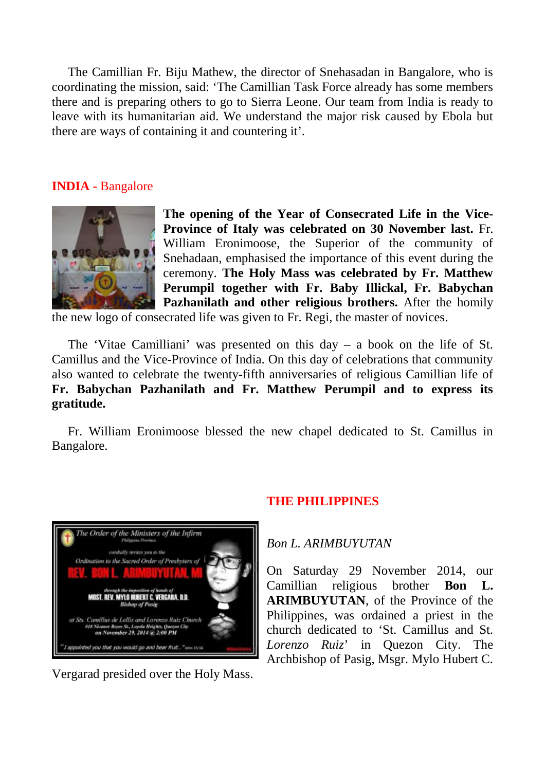The Camillian Fr. Biju Mathew, the director of Snehasadan in Bangalore, who is coordinating the mission, said: 'The Camillian Task Force already has some members there and is preparing others to go to Sierra Leone. Our team from India is ready to leave with its humanitarian aid. We understand the major risk caused by Ebola but there are ways of containing it and countering it'.

## **INDIA -** Bangalore



**The opening of the Year of Consecrated Life in the Vice-Province of Italy was celebrated on 30 November last.** Fr. William Eronimoose, the Superior of the community of Snehadaan, emphasised the importance of this event during the ceremony. **The Holy Mass was celebrated by Fr. Matthew Perumpil together with Fr. Baby Illickal, Fr. Babychan Pazhanilath and other religious brothers.** After the homily

the new logo of consecrated life was given to Fr. Regi, the master of novices.

The 'Vitae Camilliani' was presented on this day – a book on the life of St. Camillus and the Vice-Province of India. On this day of celebrations that community also wanted to celebrate the twenty-fifth anniversaries of religious Camillian life of **Fr. Babychan Pazhanilath and Fr. Matthew Perumpil and to express its gratitude.**

Fr. William Eronimoose blessed the new chapel dedicated to St. Camillus in Bangalore.



Vergarad presided over the Holy Mass.

## **THE PHILIPPINES**

## *Bon L. ARIMBUYUTAN*

On Saturday 29 November 2014, our Camillian religious brother **Bon L. ARIMBUYUTAN**, of the Province of the Philippines, was ordained a priest in the church dedicated to 'St. Camillus and St. *Lorenzo Ruiz*' in Quezon City. The Archbishop of Pasig, Msgr. Mylo Hubert C.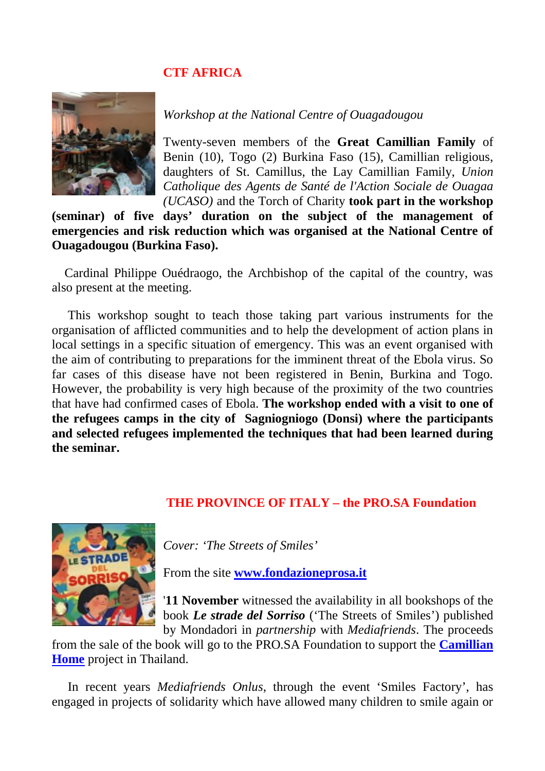### **CTF AFRICA**



*Workshop at the National Centre of Ouagadougou*

Twenty-seven members of the **Great Camillian Family** of Benin (10), Togo (2) Burkina Faso (15), Camillian religious, daughters of St. Camillus, the Lay Camillian Family, *Union Catholique des Agents de Santé de l'Action Sociale de Ouagaa (UCASO)* and the Torch of Charity **took part in the workshop**

**(seminar) of five days' duration on the subject of the management of emergencies and risk reduction which was organised at the National Centre of Ouagadougou (Burkina Faso).**

Cardinal Philippe Ouédraogo, the Archbishop of the capital of the country, was also present at the meeting.

This workshop sought to teach those taking part various instruments for the organisation of afflicted communities and to help the development of action plans in local settings in a specific situation of emergency. This was an event organised with the aim of contributing to preparations for the imminent threat of the Ebola virus. So far cases of this disease have not been registered in Benin, Burkina and Togo. However, the probability is very high because of the proximity of the two countries that have had confirmed cases of Ebola. **The workshop ended with a visit to one of the refugees camps in the city of Sagniogniogo (Donsi) where the participants and selected refugees implemented the techniques that had been learned during the seminar.**

### **THE PROVINCE OF ITALY – the PRO.SA Foundation**



*Cover: 'The Streets of Smiles'*

From the site **[www.fondazioneprosa.it](http://www.fondazioneprosa.it/)**

'**11 November** witnessed the availability in all bookshops of the book *Le strade del Sorriso* ('The Streets of Smiles') published by Mondadori in *partnership* with *Mediafriends*. The proceeds

from the sale of the book will go to the PRO.SA Foundation to support the **[Camillian](http://www.fondazioneprosa.it/tutti-i-progetti-sostegno-a-distanza/16-gruppo/asia/24-un-mondo-migliore-per-i-bambini-disabili.html) [Home](http://www.fondazioneprosa.it/tutti-i-progetti-sostegno-a-distanza/16-gruppo/asia/24-un-mondo-migliore-per-i-bambini-disabili.html)** project in Thailand.

In recent years *Mediafriends Onlus*, through the event 'Smiles Factory', has engaged in projects of solidarity which have allowed many children to smile again or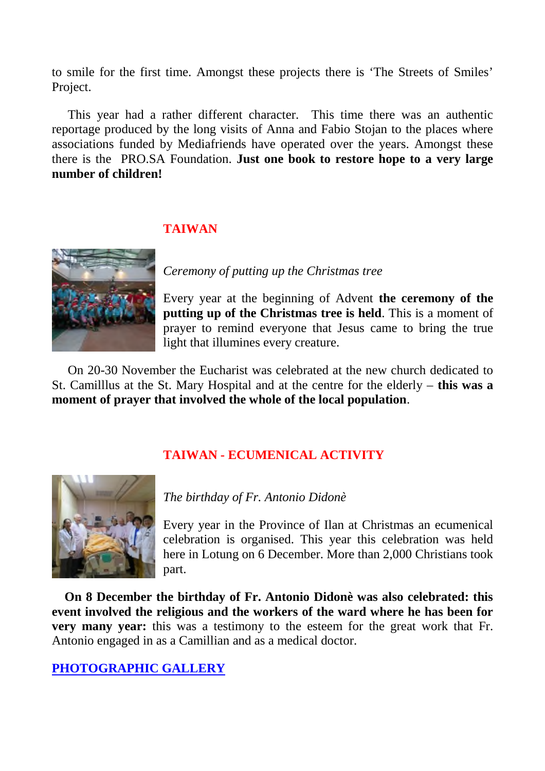[to smile for the firs](http://www.camilliani.org/wp-content/uploads/2014/12/St.Camillus-center-2.jp)t time. Amongst these projects there is 'The Streets of Smiles' Project.

This year had a rather different character. This time there was an authentic reportage produced by the long visits of Anna and Fabio Stojan to the places where associations funded by Mediafriends have operated over the years. Amongst these there is the PRO.SA Foundation. **Just one book to restore hope to a very large number of children!**

## **TAIWAN**



*Ceremony of putting up the Christmas tree*

Every year at the beginning of Advent **the ceremony of the putting up of the Christmas tree is held**. This is a moment of prayer to remind everyone that Jesus came to bring the true light that illumines every creature.

On 20-30 November the Eucharist was celebrated at the new church dedicated to St. Camilllus at the St. Mary Hospital and at the centre for the elderly – **this was a moment of prayer that involved the whole of the local population**.

# **TAIWAN - ECUMENICAL ACTIVITY**



## *The birthday of Fr. Antonio Didonè*

Every year in the Province of Ilan at Christmas an ecumenical celebration is organised. This year this celebration was held here in Lotung on 6 December. More than 2,000 Christians took part.

**On 8 December the birthday of Fr. Antonio Didonè was also celebrated: this event involved the religious and the workers of the ward where he has been for very many year:** this was a testimony to the esteem for the great work that Fr. Antonio engaged in as a Camillian and as a medical doctor.

**PHOTOGRAPHIC GALLERY**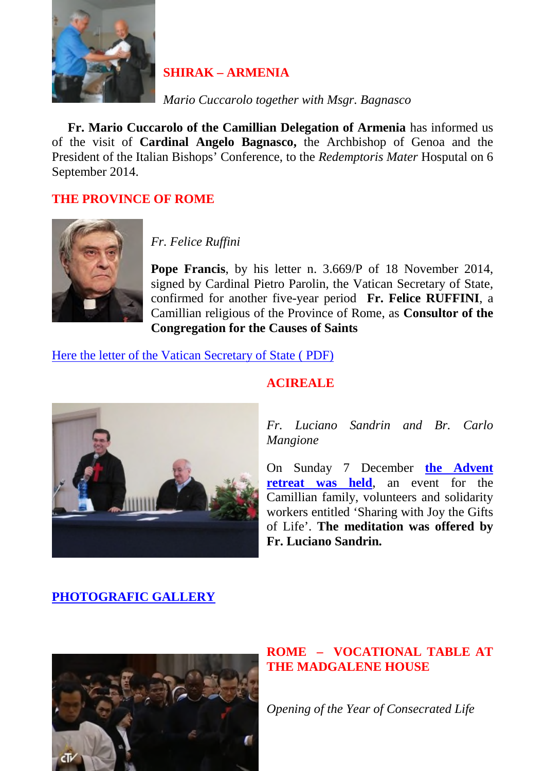

# **SHIRAK – ARMENIA**

*Mario Cuccarolo together with Msgr. Bagnasco*

**[Fr. Mario Cuccarolo of the Camill](http://www.camilliani.org/wp-content/uploads/2014/12/sandrin.jp)ian Delegation of Armenia** has informed us of the visit of **Cardinal Angelo Bagnasco,** the Archbishop of Genoa and the President of the Italian Bishops' Conference, to the *Redemptoris Mater* Hosputal on 6 September 2014.

## **THE PROVINCE OF ROME**



*Fr. Felice Ruffini*

**Pope Francis**, by his letter n. 3.669/P of 18 November 2014, signed by Cardinal Pietro Parolin, the Vatican Secretary of State, confirmed for another five-year period **Fr. Felice RUFFINI**, a Camillian religious of the Province of Rome, as **Consultor of the Congregation for the Causes of Saints**

## [Here the letter of the Vatican Secretary of State \( PDF\)](http://www.camilliani.org/wp-content/uploads/2014/12/felix.pdf)



## **ACIREALE**

*Fr. Luciano Sandrin and Br. Carlo Mangione*

On Sunday 7 December **the Advent retreat was held**, an event for the Camillian family, volunteers and solidarity workers entitled 'Sharing with Joy the Gifts of Life'. **The meditation was offered by Fr. Luciano Sandrin.**

# **PHOTOGRAFIC GALLERY**



## **ROME – VOCATIONAL TABLE AT THE MADGALENE HOUSE**

*Opening of the Year of Consecrated Life*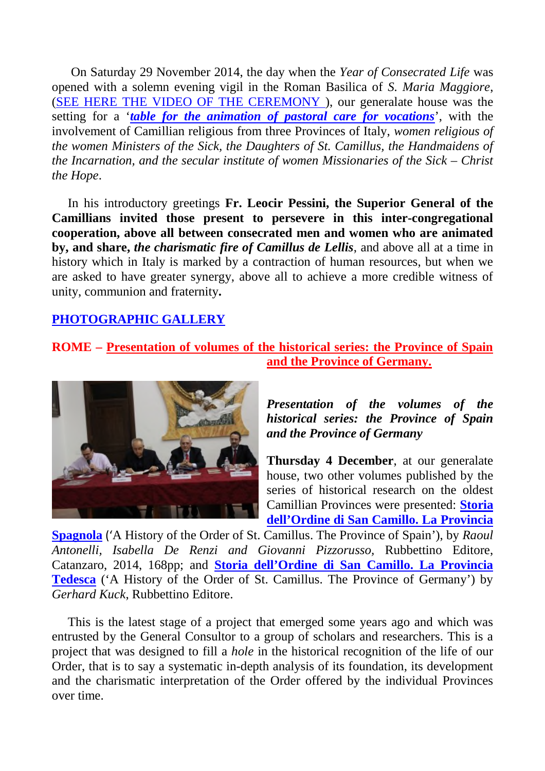On Saturday 29 November 2014, the day when the *Year of Consecrated Life* was opened with a solemn evening vigil in the Roman Basilica of *S. Maria Maggiore*, [\(SEE HERE THE VIDEO OF THE CEREMONY](https://www.youtube.com/watch?v=eF2ev3E0pcU) ), our generalate house was the setting for a '*table for the animation of pastoral care for vocations*', with the involvement of Camillian religious from three Provinces of Italy, *women religious of the women Ministers of the Sick, the Daughters of St. Camillus, the Handmaidens of the Incarnation, and the secular institute of women Missionaries of the Sick – Christ the Hope*.

In his introductory greetings **Fr. Leocir Pessini, the Superior General of the Camillians invited those present to persevere in this inter-congregational cooperation, above all between consecrated men and women who are animated by, and share,** *the charismatic fire of Camillus de Lellis*, and above all at a time in history which in Italy is marked by a contraction of human resources, but when we are asked to have greater synergy, above all to achieve a more credible witness of unity, communion and fraternity**.**

# **PHOTOGRAPHIC GALLERY**

# **ROME– [Presentation of volumes of the historical series: the Province of Spain](http://www.camilliani.org/presentazione-volumi-collana-storica-provincia-spagnola-e-tedesca/) [and the Province of Germany.](http://www.camilliani.org/presentazione-volumi-collana-storica-provincia-spagnola-e-tedesca/)**



*Presentation of the volumes of the historical series: the Province of Spain and the Province of Germany*

**Thursday 4 December**, at our generalate house, two other volumes published by the series of historical research on the oldest Camillian Provinces were presented: **[Storia](http://www.camilliani.org/wp-content/uploads/2013/03/13E0600C_STC_Antonelli.pdf) [dell'Ordine di San Camillo. La Provincia](http://www.camilliani.org/wp-content/uploads/2013/03/13E0600C_STC_Antonelli.pdf)**

**[Spagnola](http://www.camilliani.org/wp-content/uploads/2013/03/13E0600C_STC_Antonelli.pdf)** ('A History of the Order of St. Camillus. The Province of Spain'), by *Raoul Antonelli, Isabella De Renzi and Giovanni Pizzorusso,* Rubbettino Editore, Catanzaro, 2014, 168pp; and **[Storia dell'Ordine di San Camillo. La Provincia](http://www.camilliani.org/wp-content/uploads/2013/03/13E0318C_STC_Kuck_III.pdf) [Tedesca](http://www.camilliani.org/wp-content/uploads/2013/03/13E0318C_STC_Kuck_III.pdf)** ('A History of the Order of St. Camillus. The Province of Germany') by *Gerhard Kuck*, Rubbettino Editore.

This is the latest stage of a project that emerged some years ago and which was entrusted by the General Consultor to a group of scholars and researchers. This is a project that was designed to fill a *hole* in the historical recognition of the life of our Order, that is to say a systematic in-depth analysis of its foundation, its development and the charismatic interpretation of the Order offered by the individual Provinces over time.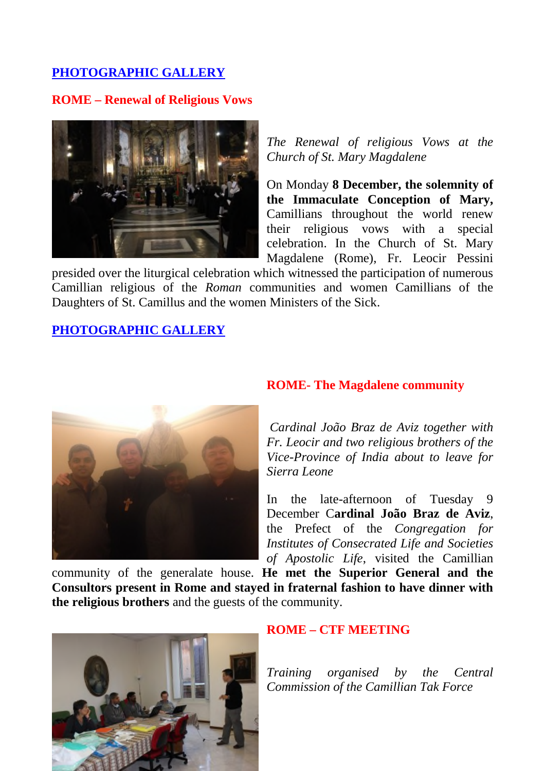# **PHOTOGRAPHIC GALLERY**

## **[ROME – Renewal of Religious Vows](http://www.camilliani.org/wp-content/uploads/2014/12/Braz-dvis-alla-Maddalena-005.jp)**



*The Renewal of religious Vows at the Church of St. Mary Magdalene*

On Monday **8 December, the solemnity of the Immaculate Conception of Mary,** Camillians throughout the world renew their religious vows with a special celebration. In the Church of St. Mary Magdalene (Rome), Fr. Leocir Pessini

presided over the liturgical celebration which witnessed the participation of numerous Camillian religious of the *Roman* communities and women Camillians of the Daughters of St. Camillus and the women Ministers of the Sick.

## **PHOTOGRAPHIC GALLERY**



## **ROME- The Magdalene community**

*Cardinal João Braz de Aviz together with Fr. Leocir and two religious brothers of the Vice-Province of India about to leave for Sierra Leone*

In the late-afternoon of Tuesday 9 December C**ardinal João Braz de Aviz**, the Prefect of the *Congregation for Institutes of Consecrated Life and Societies of Apostolic Life*, visited the Camillian

community of the generalate house. **He met the Superior General and the Consultors present in Rome and stayed in fraternal fashion to have dinner with the religious brothers** and the guests of the community.



### **ROME – CTF MEETING**

*Training organised by the Central Commission of the Camillian Tak Force*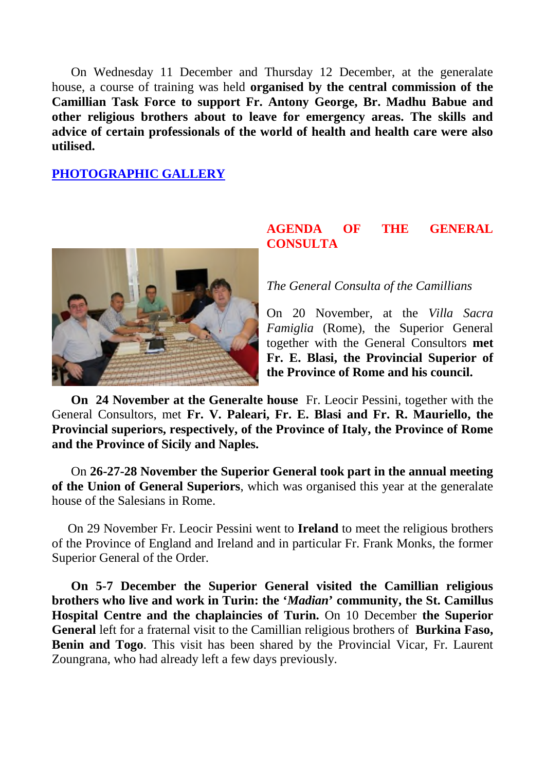On Wednesday 11 December and Thursday 12 December, at the generalate house, a course of training was held **organised by the central commission of the [Camillian Task Force to support Fr](http://www.camilliani.org/wp-content/uploads/2014/12/IMG_1621.jp). Antony George, Br. Madhu Babue and other religious brothers about to leave for emergency areas. The skills and advice of certain professionals of the world of health and health care were also utilised.**

### **PHOTOGRAPHIC GALLERY**



## **AGENDA OF THE GENERAL CONSULTA**

*The General Consulta of the Camillians*

On 20 November, at the *Villa Sacra Famiglia* (Rome), the Superior General together with the General Consultors **met Fr. E. Blasi, the Provincial Superior of the Province of Rome and his council.**

**On 24 November at the Generalte house** Fr. Leocir Pessini, together with the General Consultors, met **Fr. V. Paleari, Fr. E. Blasi and Fr. R. Mauriello, the Provincial superiors, respectively, of the Province of Italy, the Province of Rome and the Province of Sicily and Naples.**

On **26-27-28 November the Superior General took part in the annual meeting of the Union of General Superiors**, which was organised this year at the generalate house of the Salesians in Rome.

On 29 November Fr. Leocir Pessini went to **Ireland** to meet the religious brothers of the Province of England and Ireland and in particular Fr. Frank Monks, the former Superior General of the Order.

**On 5-7 December the Superior General visited the Camillian religious brothers who live and work in Turin: the '***Madian***' community, the St. Camillus Hospital Centre and the chaplaincies of Turin.** On 10 December **the Superior General** left for a fraternal visit to the Camillian religious brothers of **Burkina Faso, Benin and Togo**. This visit has been shared by the Provincial Vicar, Fr. Laurent Zoungrana, who had already left a few days previously.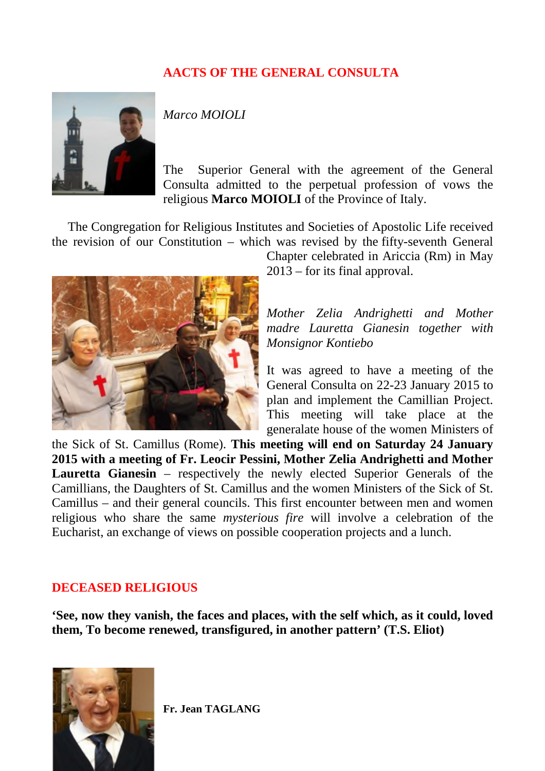# **AACTS OF THE GENERAL CONSULTA**



*Marco MOIOLI*

The Superior General with the agreement of the General Consulta admitted to the perpetual profession of vows the religious **Marco MOIOLI** of the Province of Italy.

The Congregation for Religious Institutes and Societies of Apostolic Life received the revision of our Constitution – which was revised by the fifty-seventh General



Chapter celebrated in Ariccia (Rm) in May 2013 – for its final approval.

*Mother Zelia Andrighetti and Mother madre Lauretta Gianesin together with Monsignor Kontiebo*

It was agreed to have a meeting of the General Consulta on 22-23 January 2015 to plan and implement the Camillian Project. This meeting will take place at the generalate house of the women Ministers of

[the Sick of St. Camillus \(Rome\).](http://www.camilliani.org/wp-content/uploads/2014/12/p7147500.jp) **This meeting will end on Saturday 24 January 2015 with a meeting of Fr. Leocir Pessini, Mother Zelia Andrighetti and Mother Lauretta Gianesin** – respectively the newly elected Superior Generals of the Camillians, the Daughters of St. Camillus and the women Ministers of the Sick of St. Camillus – and their general councils. This first encounter between men and women religious who share the same *mysterious fire* will involve a celebration of the Eucharist, an exchange of views on possible cooperation projects and a lunch.

## **DECEASED RELIGIOUS**

**'See, now they vanish, the faces and places, with the self which, as it could, loved them, To become renewed, transfigured, in another pattern' (T.S. Eliot)**



**Fr. Jean TAGLANG**